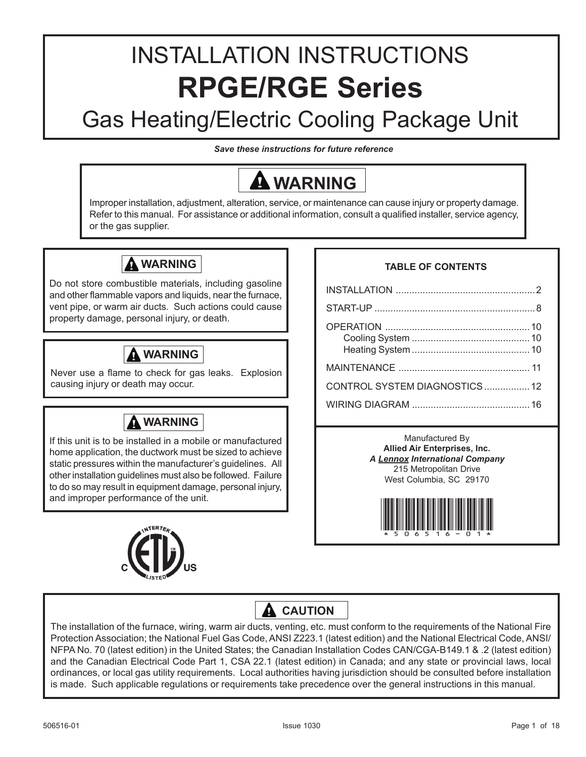# INSTALLATION INSTRUCTIONS **RPGE/RGE Series**

# Gas Heating/Electric Cooling Package Unit

*Save these instructions for future reference*

# **WARNING**

Improper installation, adjustment, alteration, service, or maintenance can cause injury or property damage. Refer to this manual. For assistance or additional information, consult a qualified installer, service agency, or the gas supplier.

## **WARNING**

Do not store combustible materials, including gasoline and other flammable vapors and liquids, near the furnace, vent pipe, or warm air ducts. Such actions could cause property damage, personal injury, or death.

## **WARNING**

Never use a flame to check for gas leaks. Explosion causing injury or death may occur.

## **WARNING**

If this unit is to be installed in a mobile or manufactured home application, the ductwork must be sized to achieve static pressures within the manufacturer's guidelines. All other installation guidelines must also be followed. Failure to do so may result in equipment damage, personal injury, and improper performance of the unit.



## **TABLE OF CONTENTS**

| CONTROL SYSTEM DIAGNOSTICS12 |  |
|------------------------------|--|
|                              |  |

Manufactured By **Allied Air Enterprises, Inc.** *A Lennox International Company* 215 Metropolitan Drive West Columbia, SC 29170



## **A** CAUTION

The installation of the furnace, wiring, warm air ducts, venting, etc. must conform to the requirements of the National Fire Protection Association; the National Fuel Gas Code, ANSI Z223.1 (latest edition) and the National Electrical Code, ANSI/ NFPA No. 70 (latest edition) in the United States; the Canadian Installation Codes CAN/CGA-B149.1 & .2 (latest edition) and the Canadian Electrical Code Part 1, CSA 22.1 (latest edition) in Canada; and any state or provincial laws, local ordinances, or local gas utility requirements. Local authorities having jurisdiction should be consulted before installation is made. Such applicable regulations or requirements take precedence over the general instructions in this manual.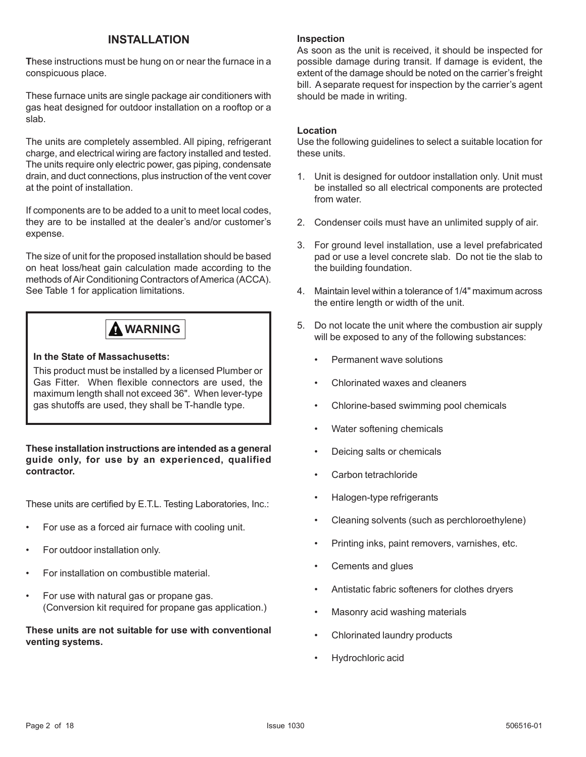## **INSTALLATION**

**T**hese instructions must be hung on or near the furnace in a conspicuous place.

These furnace units are single package air conditioners with gas heat designed for outdoor installation on a rooftop or a slab.

The units are completely assembled. All piping, refrigerant charge, and electrical wiring are factory installed and tested. The units require only electric power, gas piping, condensate drain, and duct connections, plus instruction of the vent cover at the point of installation.

If components are to be added to a unit to meet local codes, they are to be installed at the dealer's and/or customer's expense.

The size of unit for the proposed installation should be based on heat loss/heat gain calculation made according to the methods of Air Conditioning Contractors of America (ACCA). See Table 1 for application limitations.

## **WARNING**

#### **In the State of Massachusetts:**

This product must be installed by a licensed Plumber or Gas Fitter. When flexible connectors are used, the maximum length shall not exceed 36". When lever-type gas shutoffs are used, they shall be T-handle type.

**These installation instructions are intended as a general guide only, for use by an experienced, qualified contractor.**

These units are certified by E.T.L. Testing Laboratories, Inc.:

- For use as a forced air furnace with cooling unit.
- For outdoor installation only.
- For installation on combustible material.
- For use with natural gas or propane gas. (Conversion kit required for propane gas application.)

## **These units are not suitable for use with conventional venting systems.**

### **Inspection**

As soon as the unit is received, it should be inspected for possible damage during transit. If damage is evident, the extent of the damage should be noted on the carrier's freight bill. A separate request for inspection by the carrier's agent should be made in writing.

#### **Location**

Use the following guidelines to select a suitable location for these units.

- 1. Unit is designed for outdoor installation only. Unit must be installed so all electrical components are protected from water.
- 2. Condenser coils must have an unlimited supply of air.
- 3. For ground level installation, use a level prefabricated pad or use a level concrete slab. Do not tie the slab to the building foundation.
- 4. Maintain level within a tolerance of 1/4" maximum across the entire length or width of the unit.
- 5. Do not locate the unit where the combustion air supply will be exposed to any of the following substances:
	- Permanent wave solutions
	- Chlorinated waxes and cleaners
	- Chlorine-based swimming pool chemicals
	- Water softening chemicals
	- Deicing salts or chemicals
	- Carbon tetrachloride
	- Halogen-type refrigerants
	- Cleaning solvents (such as perchloroethylene)
	- Printing inks, paint removers, varnishes, etc.
	- Cements and glues
	- Antistatic fabric softeners for clothes dryers
	- Masonry acid washing materials
	- Chlorinated laundry products
	- Hydrochloric acid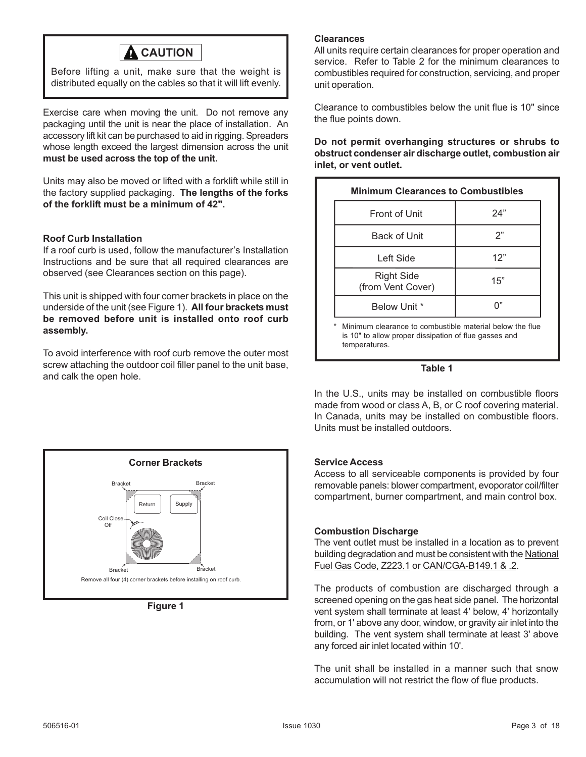

Before lifting a unit, make sure that the weight is distributed equally on the cables so that it will lift evenly.

Exercise care when moving the unit. Do not remove any packaging until the unit is near the place of installation. An accessory lift kit can be purchased to aid in rigging. Spreaders whose length exceed the largest dimension across the unit **must be used across the top of the unit.**

Units may also be moved or lifted with a forklift while still in the factory supplied packaging. **The lengths of the forks of the forklift must be a minimum of 42".**

#### **Roof Curb Installation**

If a roof curb is used, follow the manufacturer's Installation Instructions and be sure that all required clearances are observed (see Clearances section on this page).

This unit is shipped with four corner brackets in place on the underside of the unit (see Figure 1). **All four brackets must be removed before unit is installed onto roof curb assembly.**

To avoid interference with roof curb remove the outer most screw attaching the outdoor coil filler panel to the unit base, and calk the open hole.



**Figure 1**

#### **Clearances**

All units require certain clearances for proper operation and service. Refer to Table 2 for the minimum clearances to combustibles required for construction, servicing, and proper unit operation.

Clearance to combustibles below the unit flue is 10" since the flue points down.

**Do not permit overhanging structures or shrubs to obstruct condenser air discharge outlet, combustion air inlet, or vent outlet.**

| <b>Minimum Clearances to Combustibles</b>                     |     |  |
|---------------------------------------------------------------|-----|--|
| <b>Front of Unit</b>                                          | 24" |  |
| Back of Unit                                                  | 2"  |  |
| Left Side                                                     | 12" |  |
| Right Side<br>(from Vent Cover)                               | 15" |  |
| Below Unit *                                                  |     |  |
| Minimum clearance to combustible material below the flue<br>* |     |  |

\* Minimum clearance to combustible material below the flue is 10" to allow proper dissipation of flue gasses and temperatures.



In the U.S., units may be installed on combustible floors made from wood or class A, B, or C roof covering material. In Canada, units may be installed on combustible floors. Units must be installed outdoors.

#### **Service Access**

Access to all serviceable components is provided by four removable panels: blower compartment, evoporator coil/filter compartment, burner compartment, and main control box.

#### **Combustion Discharge**

The vent outlet must be installed in a location as to prevent building degradation and must be consistent with the National Fuel Gas Code, Z223.1 or CAN/CGA-B149.1 & .2.

The products of combustion are discharged through a screened opening on the gas heat side panel. The horizontal vent system shall terminate at least 4' below, 4' horizontally from, or 1' above any door, window, or gravity air inlet into the building. The vent system shall terminate at least 3' above any forced air inlet located within 10'.

The unit shall be installed in a manner such that snow accumulation will not restrict the flow of flue products.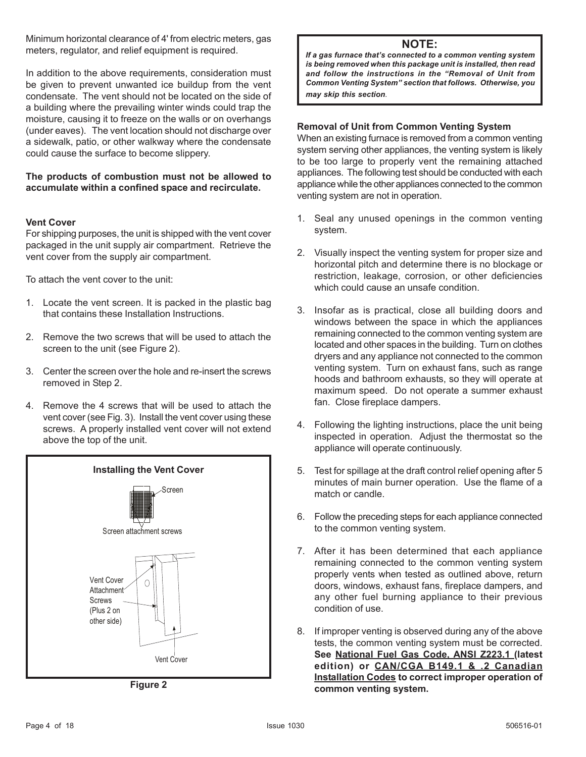Minimum horizontal clearance of 4' from electric meters, gas meters, regulator, and relief equipment is required.

In addition to the above requirements, consideration must be given to prevent unwanted ice buildup from the vent condensate. The vent should not be located on the side of a building where the prevailing winter winds could trap the moisture, causing it to freeze on the walls or on overhangs (under eaves). The vent location should not discharge over a sidewalk, patio, or other walkway where the condensate could cause the surface to become slippery.

#### **The products of combustion must not be allowed to accumulate within a confined space and recirculate.**

#### **Vent Cover**

For shipping purposes, the unit is shipped with the vent cover packaged in the unit supply air compartment. Retrieve the vent cover from the supply air compartment.

To attach the vent cover to the unit:

- 1. Locate the vent screen. It is packed in the plastic bag that contains these Installation Instructions.
- 2. Remove the two screws that will be used to attach the screen to the unit (see Figure 2).
- 3. Center the screen over the hole and re-insert the screws removed in Step 2.
- 4. Remove the 4 screws that will be used to attach the vent cover (see Fig. 3). Install the vent cover using these screws. A properly installed vent cover will not extend above the top of the unit.



**Figure 2**

### **NOTE:**

*If a gas furnace that's connected to a common venting system is being removed when this package unit is installed, then read and follow the instructions in the "Removal of Unit from Common Venting System" section that follows. Otherwise, you may skip this section.*

#### **Removal of Unit from Common Venting System**

When an existing furnace is removed from a common venting system serving other appliances, the venting system is likely to be too large to properly vent the remaining attached appliances. The following test should be conducted with each appliance while the other appliances connected to the common venting system are not in operation.

- 1. Seal any unused openings in the common venting system.
- 2. Visually inspect the venting system for proper size and horizontal pitch and determine there is no blockage or restriction, leakage, corrosion, or other deficiencies which could cause an unsafe condition.
- 3. Insofar as is practical, close all building doors and windows between the space in which the appliances remaining connected to the common venting system are located and other spaces in the building. Turn on clothes dryers and any appliance not connected to the common venting system. Turn on exhaust fans, such as range hoods and bathroom exhausts, so they will operate at maximum speed. Do not operate a summer exhaust fan. Close fireplace dampers.
- 4. Following the lighting instructions, place the unit being inspected in operation. Adjust the thermostat so the appliance will operate continuously.
- 5. Test for spillage at the draft control relief opening after 5 minutes of main burner operation. Use the flame of a match or candle.
- 6. Follow the preceding steps for each appliance connected to the common venting system.
- 7. After it has been determined that each appliance remaining connected to the common venting system properly vents when tested as outlined above, return doors, windows, exhaust fans, fireplace dampers, and any other fuel burning appliance to their previous condition of use.
- 8. If improper venting is observed during any of the above tests, the common venting system must be corrected. **See National Fuel Gas Code, ANSI Z223.1 (latest edition) or CAN/CGA B149.1 & .2 Canadian Installation Codes to correct improper operation of common venting system.**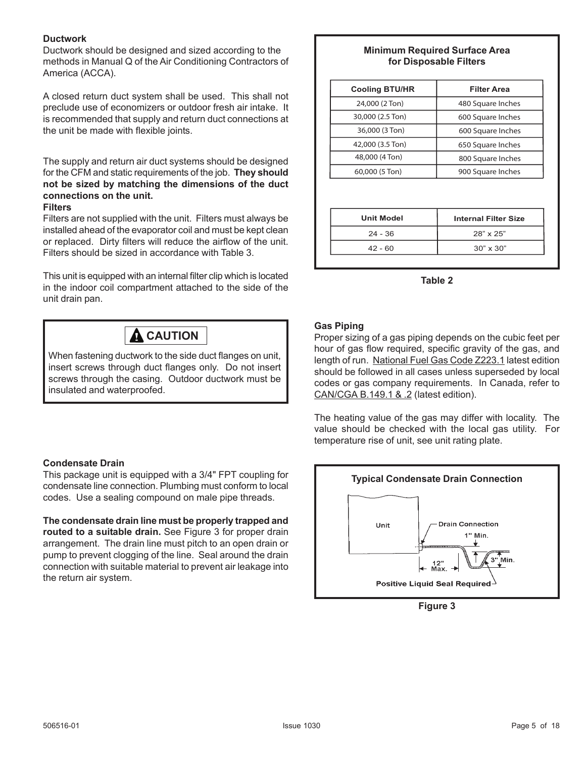#### **Ductwork**

Ductwork should be designed and sized according to the methods in Manual Q of the Air Conditioning Contractors of America (ACCA).

A closed return duct system shall be used. This shall not preclude use of economizers or outdoor fresh air intake. It is recommended that supply and return duct connections at the unit be made with flexible joints.

The supply and return air duct systems should be designed for the CFM and static requirements of the job. **They should not be sized by matching the dimensions of the duct connections on the unit.**

#### **Filters**

Filters are not supplied with the unit. Filters must always be installed ahead of the evaporator coil and must be kept clean or replaced. Dirty filters will reduce the airflow of the unit. Filters should be sized in accordance with Table 3.

This unit is equipped with an internal filter clip which is located in the indoor coil compartment attached to the side of the unit drain pan.

## **A** CAUTION

When fastening ductwork to the side duct flanges on unit, insert screws through duct flanges only. Do not insert screws through the casing. Outdoor ductwork must be insulated and waterproofed.

## **Condensate Drain**

This package unit is equipped with a 3/4" FPT coupling for condensate line connection. Plumbing must conform to local codes. Use a sealing compound on male pipe threads.

**The condensate drain line must be properly trapped and routed to a suitable drain.** See Figure 3 for proper drain arrangement. The drain line must pitch to an open drain or pump to prevent clogging of the line. Seal around the drain connection with suitable material to prevent air leakage into the return air system.

### **Minimum Required Surface Area for Disposable Filters**

| <b>Cooling BTU/HR</b> | <b>Filter Area</b>          |  |
|-----------------------|-----------------------------|--|
| 24,000 (2 Ton)        | 480 Square Inches           |  |
| 30,000 (2.5 Ton)      | 600 Square Inches           |  |
| 36,000 (3 Ton)        | 600 Square Inches           |  |
| 42,000 (3.5 Ton)      | 650 Square Inches           |  |
| 48,000 (4 Ton)        | 800 Square Inches           |  |
| 60,000 (5 Ton)        | 900 Square Inches           |  |
|                       |                             |  |
| <b>Unit Model</b>     | <b>Internal Filter Size</b> |  |
| $24 - 36$             | 28" x 25"                   |  |
| $42 - 60$             | $30" \times 30"$            |  |

**Table 2**

## **Gas Piping**

Proper sizing of a gas piping depends on the cubic feet per hour of gas flow required, specific gravity of the gas, and length of run. National Fuel Gas Code Z223.1 latest edition should be followed in all cases unless superseded by local codes or gas company requirements. In Canada, refer to CAN/CGA B.149.1 & .2 (latest edition).

The heating value of the gas may differ with locality. The value should be checked with the local gas utility. For temperature rise of unit, see unit rating plate.



**Figure 3**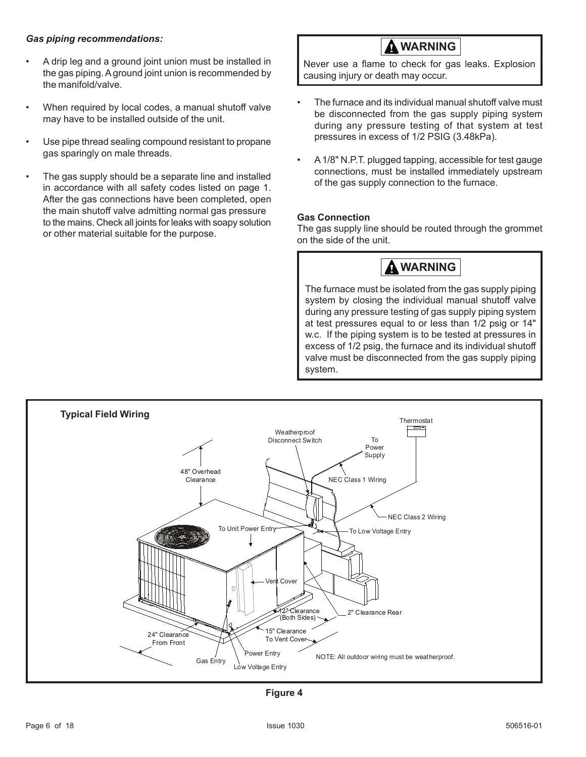#### *Gas piping recommendations:*

- A drip leg and a ground joint union must be installed in the gas piping. A ground joint union is recommended by the manifold/valve.
- When required by local codes, a manual shutoff valve may have to be installed outside of the unit.
- Use pipe thread sealing compound resistant to propane gas sparingly on male threads.
- The gas supply should be a separate line and installed in accordance with all safety codes listed on page 1. After the gas connections have been completed, open the main shutoff valve admitting normal gas pressure to the mains. Check all joints for leaks with soapy solution or other material suitable for the purpose.

 **WARNING**

Never use a flame to check for gas leaks. Explosion causing injury or death may occur.

- The furnace and its individual manual shutoff valve must be disconnected from the gas supply piping system during any pressure testing of that system at test pressures in excess of 1/2 PSIG (3.48kPa).
- A 1/8" N.P.T. plugged tapping, accessible for test gauge connections, must be installed immediately upstream of the gas supply connection to the furnace.

#### **Gas Connection**

The gas supply line should be routed through the grommet on the side of the unit.



The furnace must be isolated from the gas supply piping system by closing the individual manual shutoff valve during any pressure testing of gas supply piping system at test pressures equal to or less than 1/2 psig or 14" w.c. If the piping system is to be tested at pressures in excess of 1/2 psig, the furnace and its individual shutoff valve must be disconnected from the gas supply piping system.



**Figure 4**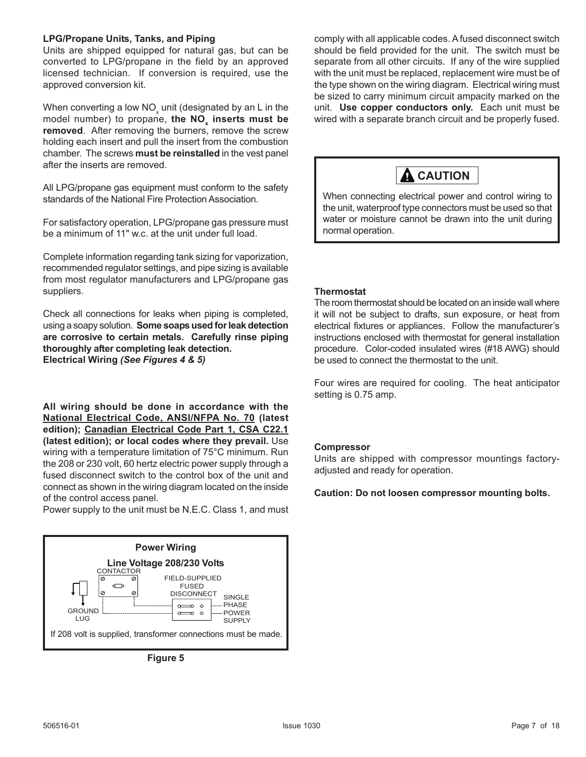#### **LPG/Propane Units, Tanks, and Piping**

Units are shipped equipped for natural gas, but can be converted to LPG/propane in the field by an approved licensed technician. If conversion is required, use the approved conversion kit.

When converting a low NO<sub>x</sub> unit (designated by an L in the model number) to propane, **the NO<sub>x</sub> inserts must be removed**. After removing the burners, remove the screw holding each insert and pull the insert from the combustion chamber. The screws **must be reinstalled** in the vest panel after the inserts are removed.

All LPG/propane gas equipment must conform to the safety standards of the National Fire Protection Association.

For satisfactory operation, LPG/propane gas pressure must be a minimum of 11" w.c. at the unit under full load.

Complete information regarding tank sizing for vaporization, recommended regulator settings, and pipe sizing is available from most regulator manufacturers and LPG/propane gas suppliers.

Check all connections for leaks when piping is completed, using a soapy solution. **Some soaps used for leak detection are corrosive to certain metals. Carefully rinse piping thoroughly after completing leak detection. Electrical Wiring** *(See Figures 4 & 5)*

**All wiring should be done in accordance with the National Electrical Code, ANSI/NFPA No. 70 (latest edition); Canadian Electrical Code Part 1, CSA C22.1 (latest edition); or local codes where they prevail.** Use wiring with a temperature limitation of 75°C minimum. Run the 208 or 230 volt, 60 hertz electric power supply through a fused disconnect switch to the control box of the unit and connect as shown in the wiring diagram located on the inside of the control access panel.

Power supply to the unit must be N.E.C. Class 1, and must

![](_page_6_Figure_9.jpeg)

**Figure 5**

comply with all applicable codes. A fused disconnect switch should be field provided for the unit. The switch must be separate from all other circuits. If any of the wire supplied with the unit must be replaced, replacement wire must be of the type shown on the wiring diagram. Electrical wiring must be sized to carry minimum circuit ampacity marked on the unit. **Use copper conductors only.** Each unit must be wired with a separate branch circuit and be properly fused.

![](_page_6_Picture_12.jpeg)

When connecting electrical power and control wiring to the unit, waterproof type connectors must be used so that water or moisture cannot be drawn into the unit during normal operation.

#### **Thermostat**

The room thermostat should be located on an inside wall where it will not be subject to drafts, sun exposure, or heat from electrical fixtures or appliances. Follow the manufacturer's instructions enclosed with thermostat for general installation procedure. Color-coded insulated wires (#18 AWG) should be used to connect the thermostat to the unit.

Four wires are required for cooling. The heat anticipator setting is 0.75 amp.

#### **Compressor**

Units are shipped with compressor mountings factoryadjusted and ready for operation.

#### **Caution: Do not loosen compressor mounting bolts.**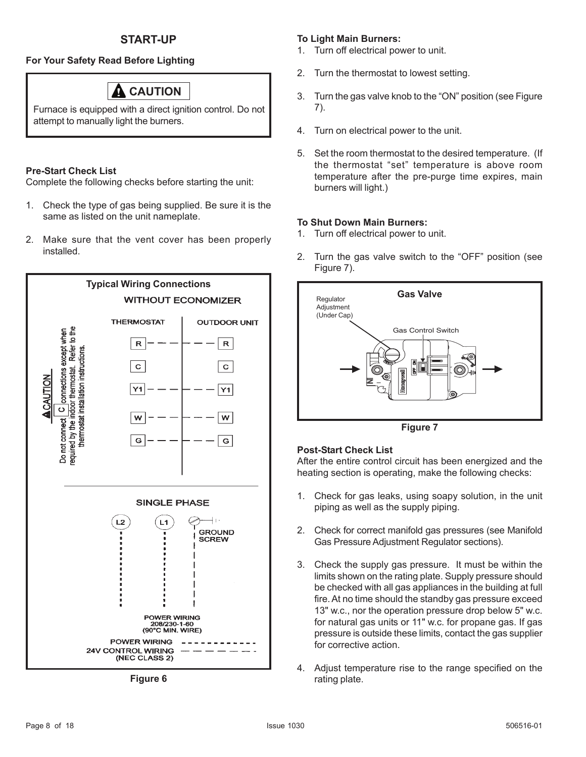### **For Your Safety Read Before Lighting**

## **CAUTION**

Furnace is equipped with a direct ignition control. Do not attempt to manually light the burners.

#### **Pre-Start Check List**

Complete the following checks before starting the unit:

- 1. Check the type of gas being supplied. Be sure it is the same as listed on the unit nameplate.
- 2. Make sure that the vent cover has been properly installed.

![](_page_7_Figure_8.jpeg)

**Figure 6**

### **To Light Main Burners:**

- 1. Turn off electrical power to unit.
- 2. Turn the thermostat to lowest setting.
- 3. Turn the gas valve knob to the "ON" position (see Figure 7).
- 4. Turn on electrical power to the unit.
- 5. Set the room thermostat to the desired temperature. (If the thermostat "set" temperature is above room temperature after the pre-purge time expires, main burners will light.)

#### **To Shut Down Main Burners:**

- 1. Turn off electrical power to unit.
- 2. Turn the gas valve switch to the "OFF" position (see Figure 7).

![](_page_7_Figure_19.jpeg)

**Figure 7**

#### **Post-Start Check List**

After the entire control circuit has been energized and the heating section is operating, make the following checks:

- 1. Check for gas leaks, using soapy solution, in the unit piping as well as the supply piping.
- 2. Check for correct manifold gas pressures (see Manifold Gas Pressure Adjustment Regulator sections).
- 3. Check the supply gas pressure. It must be within the limits shown on the rating plate. Supply pressure should be checked with all gas appliances in the building at full fire. At no time should the standby gas pressure exceed 13" w.c., nor the operation pressure drop below 5" w.c. for natural gas units or 11" w.c. for propane gas. If gas pressure is outside these limits, contact the gas supplier for corrective action.
- 4. Adjust temperature rise to the range specified on the rating plate.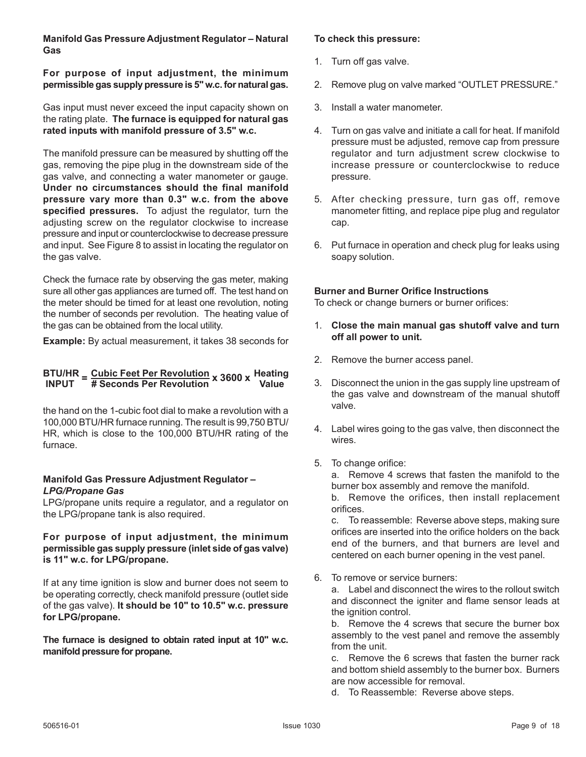#### **Manifold Gas Pressure Adjustment Regulator – Natural Gas**

#### **For purpose of input adjustment, the minimum permissible gas supply pressure is 5" w.c. for natural gas.**

Gas input must never exceed the input capacity shown on the rating plate. **The furnace is equipped for natural gas rated inputs with manifold pressure of 3.5" w.c.**

The manifold pressure can be measured by shutting off the gas, removing the pipe plug in the downstream side of the gas valve, and connecting a water manometer or gauge. **Under no circumstances should the final manifold pressure vary more than 0.3" w.c. from the above specified pressures.** To adjust the regulator, turn the adjusting screw on the regulator clockwise to increase pressure and input or counterclockwise to decrease pressure and input. See Figure 8 to assist in locating the regulator on the gas valve.

Check the furnace rate by observing the gas meter, making sure all other gas appliances are turned off. The test hand on the meter should be timed for at least one revolution, noting the number of seconds per revolution. The heating value of the gas can be obtained from the local utility.

**Example:** By actual measurement, it takes 38 seconds for

#### **<sup>=</sup> <sup>x</sup> <sup>3600</sup> <sup>x</sup> BTU/HR Cubic Feet Per Revolution INPUT # Seconds Per Revolution Heating Value**

the hand on the 1-cubic foot dial to make a revolution with a 100,000 BTU/HR furnace running. The result is 99,750 BTU/ HR, which is close to the 100,000 BTU/HR rating of the furnace.

#### **Manifold Gas Pressure Adjustment Regulator –** *LPG/Propane Gas*

LPG/propane units require a regulator, and a regulator on the LPG/propane tank is also required.

#### **For purpose of input adjustment, the minimum permissible gas supply pressure (inlet side of gas valve) is 11" w.c. for LPG/propane.**

If at any time ignition is slow and burner does not seem to be operating correctly, check manifold pressure (outlet side of the gas valve). **It should be 10" to 10.5" w.c. pressure for LPG/propane.**

**The furnace is designed to obtain rated input at 10" w.c. manifold pressure for propane.**

#### **To check this pressure:**

- 1. Turn off gas valve.
- 2. Remove plug on valve marked "OUTLET PRESSURE."
- 3. Install a water manometer.
- 4. Turn on gas valve and initiate a call for heat. If manifold pressure must be adjusted, remove cap from pressure regulator and turn adjustment screw clockwise to increase pressure or counterclockwise to reduce pressure.
- 5. After checking pressure, turn gas off, remove manometer fitting, and replace pipe plug and regulator cap.
- 6. Put furnace in operation and check plug for leaks using soapy solution.

#### **Burner and Burner Orifice Instructions**

To check or change burners or burner orifices:

- 1. **Close the main manual gas shutoff valve and turn off all power to unit.**
- 2. Remove the burner access panel.
- 3. Disconnect the union in the gas supply line upstream of the gas valve and downstream of the manual shutoff valve.
- 4. Label wires going to the gas valve, then disconnect the wires.
- 5. To change orifice:

a. Remove 4 screws that fasten the manifold to the burner box assembly and remove the manifold.

b. Remove the orifices, then install replacement orifices.

c. To reassemble: Reverse above steps, making sure orifices are inserted into the orifice holders on the back end of the burners, and that burners are level and centered on each burner opening in the vest panel.

6. To remove or service burners:

a. Label and disconnect the wires to the rollout switch and disconnect the igniter and flame sensor leads at the ignition control.

b. Remove the 4 screws that secure the burner box assembly to the vest panel and remove the assembly from the unit.

c. Remove the 6 screws that fasten the burner rack and bottom shield assembly to the burner box. Burners are now accessible for removal.

d. To Reassemble: Reverse above steps.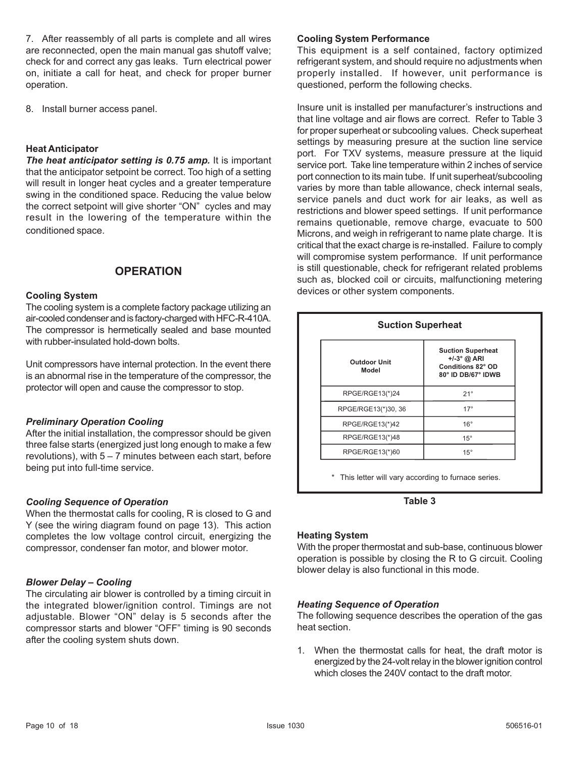7. After reassembly of all parts is complete and all wires are reconnected, open the main manual gas shutoff valve; check for and correct any gas leaks. Turn electrical power on, initiate a call for heat, and check for proper burner operation.

8. Install burner access panel.

#### **Heat Anticipator**

*The heat anticipator setting is 0.75 amp.* It is important that the anticipator setpoint be correct. Too high of a setting will result in longer heat cycles and a greater temperature swing in the conditioned space. Reducing the value below the correct setpoint will give shorter "ON" cycles and may result in the lowering of the temperature within the conditioned space.

### **OPERATION**

#### **Cooling System**

The cooling system is a complete factory package utilizing an air-cooled condenser and is factory-charged with HFC-R-410A. The compressor is hermetically sealed and base mounted with rubber-insulated hold-down bolts.

Unit compressors have internal protection. In the event there is an abnormal rise in the temperature of the compressor, the protector will open and cause the compressor to stop.

#### *Preliminary Operation Cooling*

After the initial installation, the compressor should be given three false starts (energized just long enough to make a few revolutions), with 5 – 7 minutes between each start, before being put into full-time service.

#### *Cooling Sequence of Operation*

When the thermostat calls for cooling, R is closed to G and Y (see the wiring diagram found on page 13). This action completes the low voltage control circuit, energizing the compressor, condenser fan motor, and blower motor.

#### *Blower Delay – Cooling*

The circulating air blower is controlled by a timing circuit in the integrated blower/ignition control. Timings are not adjustable. Blower "ON" delay is 5 seconds after the compressor starts and blower "OFF" timing is 90 seconds after the cooling system shuts down.

#### **Cooling System Performance**

This equipment is a self contained, factory optimized refrigerant system, and should require no adjustments when properly installed. If however, unit performance is questioned, perform the following checks.

Insure unit is installed per manufacturer's instructions and that line voltage and air flows are correct. Refer to Table 3 for proper superheat or subcooling values. Check superheat settings by measuring presure at the suction line service port. For TXV systems, measure pressure at the liquid service port. Take line temperature within 2 inches of service port connection to its main tube. If unit superheat/subcooling varies by more than table allowance, check internal seals, service panels and duct work for air leaks, as well as restrictions and blower speed settings. If unit performance remains quetionable, remove charge, evacuate to 500 Microns, and weigh in refrigerant to name plate charge. It is critical that the exact charge is re-installed. Failure to comply will compromise system performance. If unit performance is still questionable, check for refrigerant related problems such as, blocked coil or circuits, malfunctioning metering devices or other system components.

| <b>Suction Superheat</b>     |                                                                                             |  |  |
|------------------------------|---------------------------------------------------------------------------------------------|--|--|
| <b>Outdoor Unit</b><br>Model | <b>Suction Superheat</b><br>$+/-3^{\circ}$ @ ARI<br>Conditions 82° OD<br>80° ID DB/67° IDWB |  |  |
| RPGE/RGE13(*)24              | $21^{\circ}$                                                                                |  |  |
| RPGE/RGE13(*)30, 36          | $17^\circ$                                                                                  |  |  |
| RPGE/RGE13(*)42              | $16^{\circ}$                                                                                |  |  |
| RPGE/RGE13(*)48              | $15^{\circ}$                                                                                |  |  |
| RPGE/RGE13(*)60              | $15^{\circ}$                                                                                |  |  |

\* This letter will vary according to furnace series.

**Table 3**

#### **Heating System**

With the proper thermostat and sub-base, continuous blower operation is possible by closing the R to G circuit. Cooling blower delay is also functional in this mode.

#### *Heating Sequence of Operation*

The following sequence describes the operation of the gas heat section.

1. When the thermostat calls for heat, the draft motor is energized by the 24-volt relay in the blower ignition control which closes the 240V contact to the draft motor.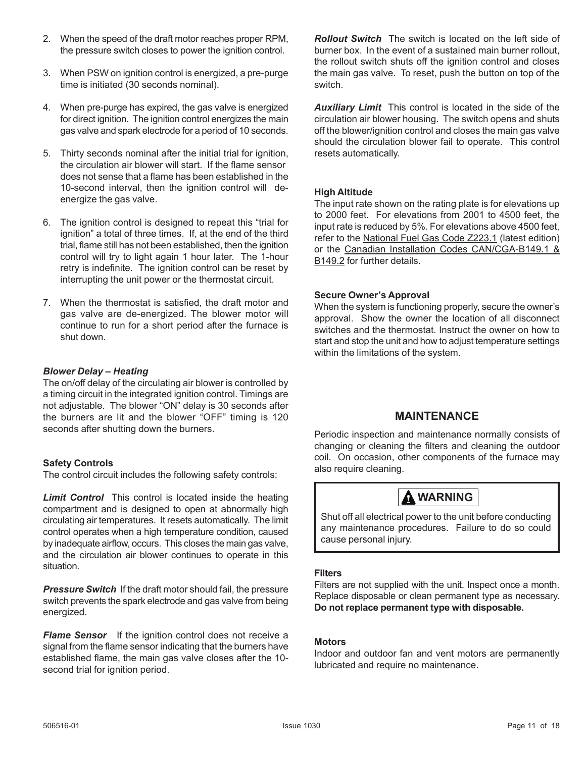- 2. When the speed of the draft motor reaches proper RPM, the pressure switch closes to power the ignition control.
- 3. When PSW on ignition control is energized, a pre-purge time is initiated (30 seconds nominal).
- 4. When pre-purge has expired, the gas valve is energized for direct ignition. The ignition control energizes the main gas valve and spark electrode for a period of 10 seconds.
- does not sense that a flame has been established in the 10-second interval, then the ignition control will deenergize the gas valve. 5. Thirty seconds nominal after the initial trial for ignition, the circulation air blower will start. If the flame sensor
- 6. The ignition control is designed to repeat this "trial for ignition" a total of three times. If, at the end of the third trial, flame still has not been established, then the ignition control will try to light again 1 hour later. The 1-hour retry is indefinite. The ignition control can be reset by interrupting the unit power or the thermostat circuit.
- 7. When the thermostat is satisfied, the draft motor and gas valve are de-energized. The blower motor will continue to run for a short period after the furnace is shut down.

### *Blower Delay – Heating*

The on/off delay of the circulating air blower is controlled by a timing circuit in the integrated ignition control. Timings are not adjustable. The blower "ON" delay is 30 seconds after the burners are lit and the blower "OFF" timing is 120 seconds after shutting down the burners.

#### **Safety Controls**

The control circuit includes the following safety controls:

**Limit Control** This control is located inside the heating compartment and is designed to open at abnormally high circulating air temperatures. It resets automatically. The limit control operates when a high temperature condition, caused by inadequate airflow, occurs. This closes the main gas valve, and the circulation air blower continues to operate in this situation.

**Pressure Switch** If the draft motor should fail, the pressure switch prevents the spark electrode and gas valve from being energized.

**Flame Sensor** If the ignition control does not receive a signal from the flame sensor indicating that the burners have established flame, the main gas valve closes after the 10 second trial for ignition period.

*Rollout Switch* The switch is located on the left side of burner box. In the event of a sustained main burner rollout, the rollout switch shuts off the ignition control and closes the main gas valve. To reset, push the button on top of the switch.

*Auxiliary Limit*This control is located in the side of the circulation air blower housing. The switch opens and shuts off the blower/ignition control and closes the main gas valve should the circulation blower fail to operate. This control resets automatically.

## **High Altitude**

The input rate shown on the rating plate is for elevations up to 2000 feet. For elevations from 2001 to 4500 feet, the input rate is reduced by 5%. For elevations above 4500 feet, refer to the National Fuel Gas Code Z223.1 (latest edition) or the Canadian Installation Codes CAN/CGA-B149.1 & B<sub>149.2</sub> for further details.

#### **Secure Owner's Approval**

When the system is functioning properly, secure the owner's approval. Show the owner the location of all disconnect switches and the thermostat. Instruct the owner on how to start and stop the unit and how to adjust temperature settings within the limitations of the system.

## **MAINTENANCE**

Periodic inspection and maintenance normally consists of changing or cleaning the filters and cleaning the outdoor coil. On occasion, other components of the furnace may also require cleaning.

## **A** WARNING

Shut off all electrical power to the unit before conducting any maintenance procedures. Failure to do so could cause personal injury.

#### **Filters**

Filters are not supplied with the unit. Inspect once a month. Replace disposable or clean permanent type as necessary. **Do not replace permanent type with disposable.**

#### **Motors**

Indoor and outdoor fan and vent motors are permanently lubricated and require no maintenance.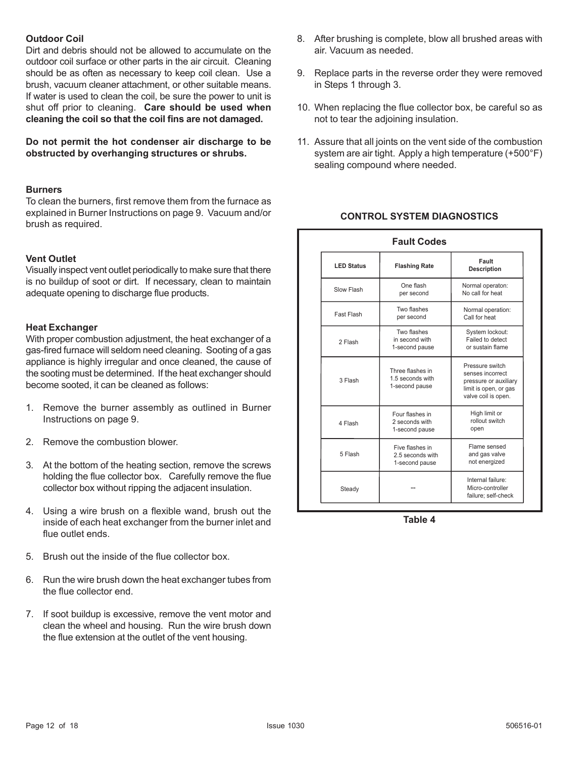#### **Outdoor Coil**

Dirt and debris should not be allowed to accumulate on the outdoor coil surface or other parts in the air circuit. Cleaning should be as often as necessary to keep coil clean. Use a brush, vacuum cleaner attachment, or other suitable means. If water is used to clean the coil, be sure the power to unit is shut off prior to cleaning. **Care should be used when cleaning the coil so that the coil fins are not damaged.**

**Do not permit the hot condenser air discharge to be obstructed by overhanging structures or shrubs.**

#### **Burners**

To clean the burners, first remove them from the furnace as explained in Burner Instructions on page 9. Vacuum and/or brush as required.

#### **Vent Outlet**

Visually inspect vent outlet periodically to make sure that there is no buildup of soot or dirt. If necessary, clean to maintain adequate opening to discharge flue products.

#### **Heat Exchanger**

With proper combustion adjustment, the heat exchanger of a gas-fired furnace will seldom need cleaning. Sooting of a gas appliance is highly irregular and once cleaned, the cause of the sooting must be determined. If the heat exchanger should become sooted, it can be cleaned as follows:

- 1. Remove the burner assembly as outlined in Burner Instructions on page 9.
- 2. Remove the combustion blower.
- 3. At the bottom of the heating section, remove the screws holding the flue collector box. Carefully remove the flue collector box without ripping the adjacent insulation.
- 4. Using a wire brush on a flexible wand, brush out the inside of each heat exchanger from the burner inlet and flue outlet ends.
- 5. Brush out the inside of the flue collector box.
- 6. Run the wire brush down the heat exchanger tubes from the flue collector end.
- 7. If soot buildup is excessive, remove the vent motor and clean the wheel and housing. Run the wire brush down the flue extension at the outlet of the vent housing.
- 8. After brushing is complete, blow all brushed areas with air. Vacuum as needed.
- 9. Replace parts in the reverse order they were removed in Steps 1 through 3.
- 10. When replacing the flue collector box, be careful so as not to tear the adjoining insulation.
- 11. Assure that all joints on the vent side of the combustion system are air tight. Apply a high temperature (+500°F) sealing compound where needed.

### **CONTROL SYSTEM DIAGNOSTICS**

| <b>Fault Codes</b> |                                                        |                                                                                                              |  |  |
|--------------------|--------------------------------------------------------|--------------------------------------------------------------------------------------------------------------|--|--|
| <b>LED Status</b>  | <b>Flashing Rate</b>                                   | Fault<br><b>Description</b>                                                                                  |  |  |
| Slow Flash         | One flash<br>per second                                | Normal operaton:<br>No call for heat                                                                         |  |  |
| Fast Flash         | Two flashes<br>per second                              | Normal operation:<br>Call for heat                                                                           |  |  |
| 2 Flash            | Two flashes<br>in second with<br>1-second pause        | System lockout:<br>Failed to detect<br>or sustain flame                                                      |  |  |
| 3 Flash            | Three flashes in<br>1.5 seconds with<br>1-second pause | Pressure switch<br>senses incorrect<br>pressure or auxiliary<br>limit is open, or gas<br>valve coil is open. |  |  |
| 4 Flash            | Four flashes in<br>2 seconds with<br>1-second pause    | High limit or<br>rollout switch<br>open                                                                      |  |  |
| 5 Flash            | Five flashes in<br>2.5 seconds with<br>1-second pause  | Flame sensed<br>and gas valve<br>not energized                                                               |  |  |
| Steady             |                                                        | Internal failure:<br>Micro-controller<br>failure; self-check                                                 |  |  |

**Table 4**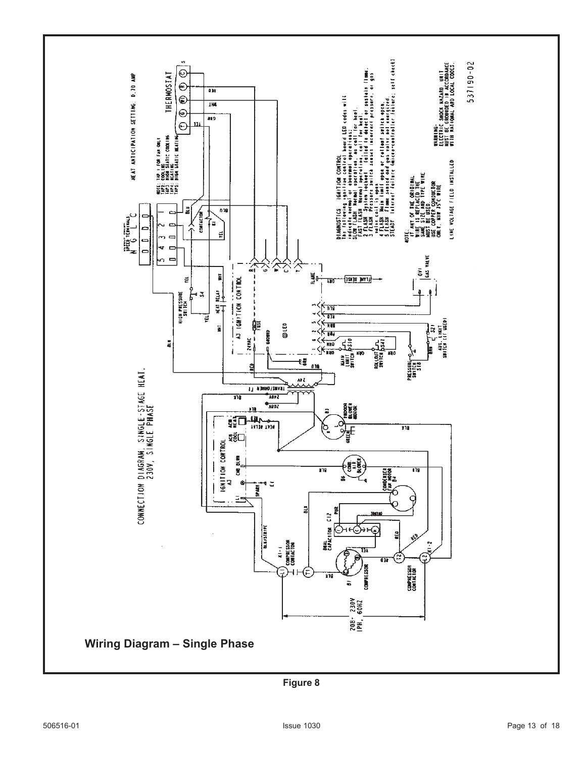![](_page_12_Figure_0.jpeg)

**Figure 8**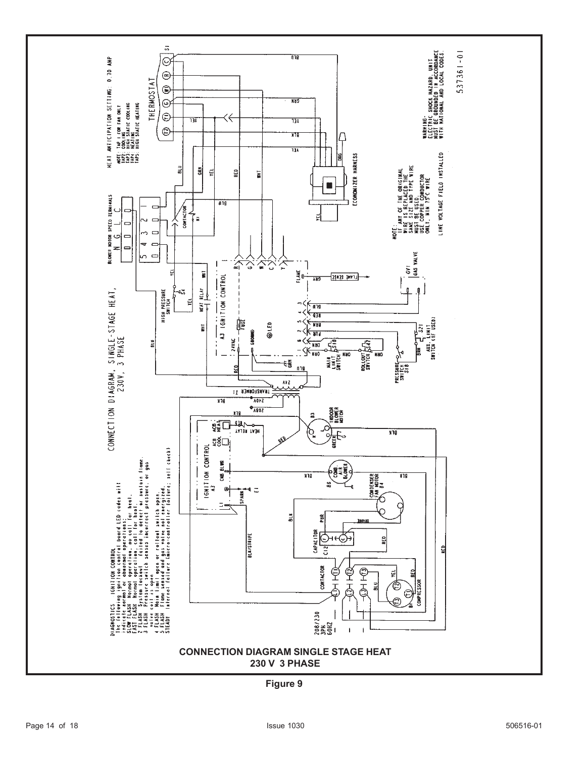![](_page_13_Figure_0.jpeg)

**Figure 9**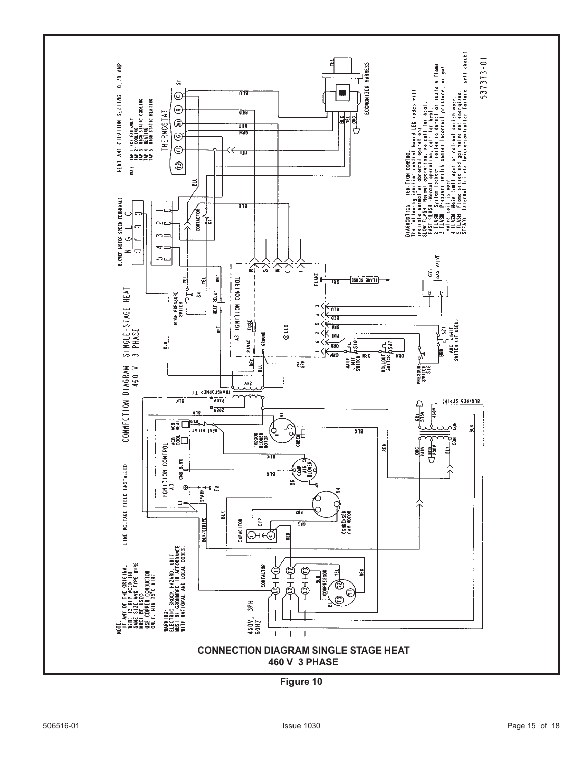![](_page_14_Figure_0.jpeg)

**Figure 10**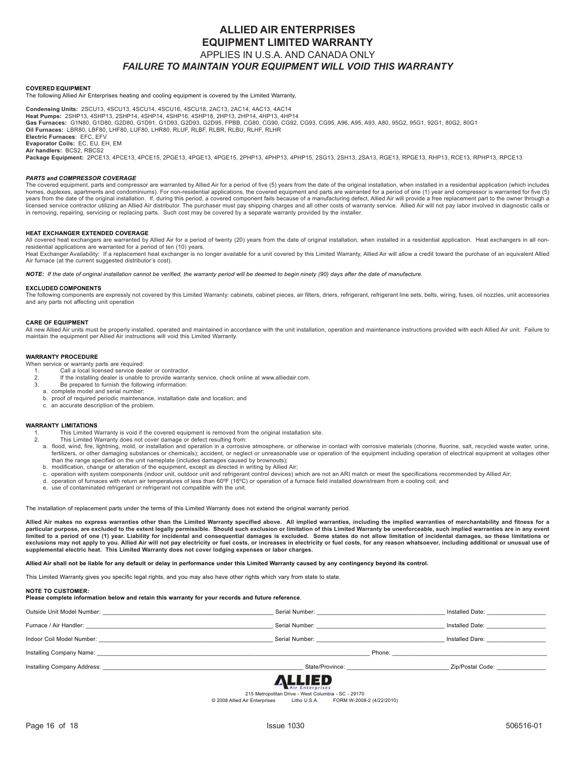### **ALLIED AIR ENTERPRISES EQUIPMENT LIMITED WARRANTY** APPLIES IN U.S.A. AND CANADA ONLY *FAILURE TO MAINTAIN YOUR EQUIPMENT WILL VOID THIS WARRANTY*

**COVERED EQUIPMENT**

The following Allied Air Enterprises heating and cooling equipment is covered by the Limited Warranty,

**Condensing Units:** 2SCU13, 4SCU13, 4SCU14, 4SCU16, 4SCU18, 2AC13, 2AC14, 4AC13, 4AC14 **Heat Pumps:** 2SHP13, 4SHP13, 2SHP14, 4SHP14, 4SHP16, 4SHP18, 2HP13, 2HP14, 4HP13, 4HP14 **Gas Furnaces:** G1N80, G1D80, G2D80, G1D91, G1D93, G2D93, G2D95, FPBB, CG80, CG90, CG92, CG93, CG95, A96, A95, A93, A80, 95G2, 95G1, 92G1, 80G2, 80G1 **Oil Furnaces:** LBR80, LBF80, LHF80, LUF80, LHR80, RLUF, RLBF, RLBR, RLBU, RLHF, RLHR **Electric Furnaces**: EFC, EFV **Evaporator Coils:** EC, EU, EH, EM **Air handlers:** BCS2, RBCS2

**Package Equipment:** 2PCE13, 4PCE13, 4PCE15, 2PGE13, 4PGE13, 4PGE15, 2PHP13, 4PHP13, 4PHP15, 2SG13, 2SH13, 2SA13, RGE13, RPGE13, RHP13, RCE13, RPHP13, RPCE13

#### *PARTS and COMPRESSOR COVERAGE*

The covered equipment, parts and compressor are warranted by Allied Air for a period of five (5) years from the date of the original installation, when installed in a residential application (which includes homes, duplexes, apartments and condominiums). For non-residential applications, the covered equipment and parts are warranted for a period of one (1) year and compressor is warranted for five (5) years from the date of the original installation. If, during this period, a covered component fails because of a manufacturing defect, Allied Air will provide a free replacement part to the owner through a licensed service contractor utilizing an Allied Air distributor. The purchaser must pay shipping charges and all other costs of warranty service. Allied Air will not pay labor involved in diagnostic calls or<br>in removing, r

#### **HEAT EXCHANGER EXTENDED COVERAGE**

All covered heat exchangers are warranted by Allied Air for a period of twenty (20) years from the date of original installation, when installed in a residential application. Heat exchangers in all nonresidential applications are warranted for a period of ten (10) years.

Heat Exchanger Availability: If a replacement heat exchanger is no longer available for a unit covered by this Limited Warranty, Allied Air will allow a credit toward the purchase of an equivalent Allied Air furnace (at the current suggested distributor's cost).

*NOTE: If the date of original installation cannot be verified, the warranty period will be deemed to begin ninety (90) days after the date of manufacture.*

#### **EXCLUDED COMPONENTS**

The following components are expressly not covered by this Limited Warranty: cabinets, cabinet pieces, air filters, driers, refrigerant, refrigerant line sets, belts, wiring, fuses, oil nozzles, unit accessories and any parts not affecting unit operation

#### **CARE OF EQUIPMENT**

All new Allied Air units must be properly installed, operated and maintained in accordance with the unit installation, operation and maintenance instructions provided with each Allied Air unit. Failure to<br>maintain the equi

#### **WARRANTY PROCEDURE**

When service or warranty parts are required:

- 1. Call a local licensed service dealer or contractor.<br>2. If the installing dealer is unable to provide warra
- 2. If the installing dealer is unable to provide warranty service, check online at www.alliedair.com. 3. Be prepared to furnish the following information:
- a. complete model and serial number;
- 
- b. proof of required periodic maintenance, installation date and location; and c. an accurate description of the problem.

#### **WARRANTY LIMITATIONS**

- 1. This Limited Warranty is void if the covered equipment is removed from the original installation site. 2. This Limited Warranty does not cover damage or defect resulting from:
	-
	- a. flood, wind, fire, lightning, mold, or installation and operation in a corrosive atmosphere, or otherwise in contact with corrosive materials (chorine, fluorine, salt, recycled waste water, urine, fertilizers, or other damaging substances or chemicals); accident, or neglect or unreasonable use or operation of the equipment including operation of electrical equipment at voltages other than the range specified on the unit nameplate (includes damages caused by brownouts);
	- b. modification, change or alteration of the equipment, except as directed in writing by Allied Air;
	- c. operation with system components (indoor unit, outdoor unit and refrigerant control devices) which are not an ARI match or meet the specifications recommended by Allied Air;
	- d. operation of furnaces with return air temperatures of less than 60ºF (16ºC) or operation of a furnace field installed downstream from a cooling coil; and
	- e. use of contaminated refrigerant or refrigerant not compatible with the unit.

The installation of replacement parts under the terms of this Limited Warranty does not extend the original warranty period.

**Allied Air makes no express warranties other than the Limited Warranty specified above. All implied warranties, including the implied warranties of merchantability and fitness for a** particular purpose, are excluded to the extent legally permissible. Should such exclusion or limitation of this Limited Warranty be unenforceable, such implied warranties are in any event limited to a period of one (1) year. Liability for incidental and consequential damages is excluded. Some states do not allow limitation of incidental damages, so these limitations or<br>exclusions may not apply to you. Alli **supplemental electric heat. This Limited Warranty does not cover lodging expenses or labor charges.**

#### **Allied Air shall not be liable for any default or delay in performance under this Limited Warranty caused by any contingency beyond its control.**

This Limited Warranty gives you specific legal rights, and you may also have other rights which vary from state to state.

#### **NOTE TO CUSTOMER:**

#### **Please complete information below and retain this warranty for your records and future reference**.

|                                                                                                                                                                                                                                | 8 I J J P R                                                                                                                                                                                                                    |                                                                                                                                                                                                                                |
|--------------------------------------------------------------------------------------------------------------------------------------------------------------------------------------------------------------------------------|--------------------------------------------------------------------------------------------------------------------------------------------------------------------------------------------------------------------------------|--------------------------------------------------------------------------------------------------------------------------------------------------------------------------------------------------------------------------------|
|                                                                                                                                                                                                                                | State/Province: Note that the state of the state of the state of the state of the state of the state of the state of the state of the state of the state of the state of the state of the state of the state of the state of t | Zip/Postal Code:                                                                                                                                                                                                               |
|                                                                                                                                                                                                                                |                                                                                                                                                                                                                                | Phone: The contract of the contract of the contract of the contract of the contract of the contract of the contract of the contract of the contract of the contract of the contract of the contract of the contract of the con |
| Indoor Coil Model Number: We have a state of the state of the state of the state of the state of the state of the state of the state of the state of the state of the state of the state of the state of the state of the stat | Serial Number: Website and Serial Numbers                                                                                                                                                                                      | Installed Dare:                                                                                                                                                                                                                |
| Furnace / Air Handler: The Manual Communication of the Manual Communication of the Manual Communication of the                                                                                                                 | Serial Number: <u>_____________________</u> _                                                                                                                                                                                  | Installed Date:                                                                                                                                                                                                                |
| Outside Unit Model Number: We are a series of the Unit Model Number:                                                                                                                                                           | Serial Number: The Contract of the Contract of the Contract of the Contract of the Contract of the Contract of the Contract of the Contract of the Contract of the Contract of the Contract of the Contract of the Contract of | Installed Date: The Contract of the Contract of the Contract of the Contract of the Contract of the Contract o                                                                                                                 |

![](_page_15_Picture_37.jpeg)

215 Metropolitan Drive - West Columbia - SC - 29170<br>2008 Allied Air Enterprises Litho U.S.A. FORM W-2008 Litho U.S.A. FORM W-2008-2 (4/22/2010)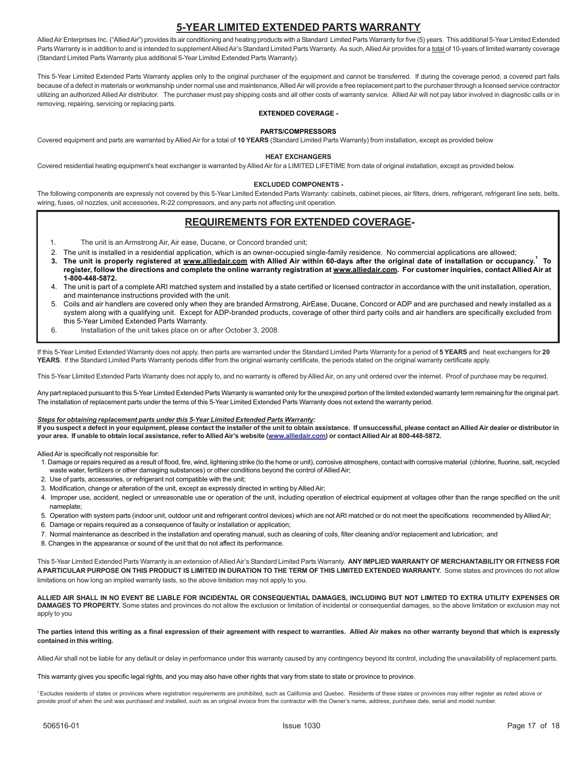### **5-YEAR LIMITED EXTENDED PARTS WARRANTY**

Allied Air Enterprises Inc. ("Allied Air") provides its air conditioning and heating products with a Standard Limited Parts Warranty for five (5) years. This additional 5-Year Limited Extended Parts Warranty is in addition to and is intended to supplement Allied Air's Standard Limited Parts Warranty. As such, Allied Air provides for a total of 10-years of limited warranty coverage (Standard Limited Parts Warranty plus additional 5-Year Limited Extended Parts Warranty).

This 5-Year Limited Extended Parts Warranty applies only to the original purchaser of the equipment and cannot be transferred. If during the coverage period, a covered part fails because of a defect in materials or workmanship under normal use and maintenance, Allied Air will provide a free replacement part to the purchaser through a licensed service contractor utilizing an authorized Allied Air distributor. The purchaser must pay shipping costs and all other costs of warranty service. Allied Air will not pay labor involved in diagnostic calls or in removing, repairing, servicing or replacing parts.

#### **EXTENDED COVERAGE -**

#### **PARTS/COMPRESSORS**

Covered equipment and parts are warranted by Allied Air for a total of **10 YEARS** (Standard Limited Parts Warranty) from installation, except as provided below

#### **HEAT EXCHANGERS**

Covered residential heating equipment's heat exchanger is warranted by Allied Air for a LIMITED LIFETIME from date of original installation, except as provided below.

#### **EXCLUDED COMPONENTS -**

The following components are expressly not covered by this 5-Year Limited Extended Parts Warranty: cabinets, cabinet pieces, air filters, driers, refrigerant, refrigerant line sets, belts, wiring, fuses, oil nozzles, unit accessories, R-22 compressors, and any parts not affecting unit operation.

#### **REQUIREMENTS FOR EXTENDED COVERAGE-**

- 1. The unit is an Armstrong Air, Air ease, Ducane, or Concord branded unit;
- 2. The unit is installed in a residential application, which is an owner-occupied single-family residence. No commercial applications are allowed;
- **3. The unit is properly registered at www.alliedair.com with Allied Air within 60-days after the original date of installation or occupancy.<sup>1</sup> To register, follow the directions and complete the online warranty registration at www.alliedair.com. For customer inquiries, contact Allied Air at 1-800-448-5872.**
- 4. The unit is part of a complete ARI matched system and installed by a state certified or licensed contractor in accordance with the unit installation, operation, and maintenance instructions provided with the unit.
- 5. Coils and air handlers are covered only when they are branded Armstrong, AirEase, Ducane, Concord or ADP and are purchased and newly installed as a system along with a qualifying unit. Except for ADP-branded products, coverage of other third party coils and air handlers are specifically excluded from this 5-Year Limited Extended Parts Warranty.
- 6. Installation of the unit takes place on or after October 3, 2008.

If this 5-Year Limited Extended Warranty does not apply, then parts are warranted under the Standard Limited Parts Warranty for a period of **5 YEARS** and heat exchangers for **20 YEARS**. If the Standard Limited Parts Warranty periods differ from the original warranty certificate, the periods stated on the original warranty certificate apply.

This 5-Year Llimited Extended Parts Warranty does not apply to, and no warranty is offered by Allied Air, on any unit ordered over the internet. Proof of purchase may be required.

Any part replaced pursuant to this 5-Year Limited Extended Parts Warranty is warranted only for the unexpired portion of the limited extended warranty term remaining for the original part. The installation of replacement parts under the terms of this 5-Year Limited Extended Parts Warranty does not extend the warranty period.

#### *Steps for obtaining replacement parts under this 5-Year Limited Extended Parts Warranty:*

**If you suspect a defect in your equipment, please contact the installer of the unit to obtain assistance. If unsuccessful, please contact an Allied Air dealer or distributor in your area. If unable to obtain local assistance, refer to Allied Air's website (www.alliedair.com) or contact Allied Air at 800-448-5872.**

Allied Air is specifically not responsible for:

- 1. Damage or repairs required as a result of flood, fire, wind, lightening strike (to the home or unit), corrosive atmosphere, contact with corrosive material (chlorine, fluorine, salt, recycled waste water, fertilizers or other damaging substances) or other conditions beyond the control of Allied Air;
- 2. Use of parts, accessories, or refrigerant not compatible with the unit;
- 3. Modification, change or alteration of the unit, except as expressly directed in writing by Allied Air;
- 4. Improper use, accident, neglect or unreasonable use or operation of the unit, including operation of electrical equipment at voltages other than the range specified on the unit nameplate;
- 5. Operation with system parts (indoor unit, outdoor unit and refrigerant control devices) which are not ARI matched or do not meet the specifications recommended by Allied Air;
- 6. Damage or repairs required as a consequence of faulty or installation or application;
- 7. Normal maintenance as described in the installation and operating manual, such as cleaning of coils, filter cleaning and/or replacement and lubrication; and
- 8. Changes in the appearance or sound of the unit that do not affect its performance.

This 5-Year Limited Extended Parts Warranty is an extension of Allied Air's Standard Limited Parts Warranty. **ANY IMPLIED WARRANTY OF MERCHANTABILITY OR FITNESS FOR A PARTICULAR PURPOSE ON THIS PRODUCT IS LIMITED IN DURATION TO THE TERM OF THIS LIMITED EXTENDED WARRANTY.** Some states and provinces do not allow limitations on how long an implied warranty lasts, so the above limitation may not apply to you.

**ALLIED AIR SHALL IN NO EVENT BE LIABLE FOR INCIDENTAL OR CONSEQUENTIAL DAMAGES, INCLUDING BUT NOT LIMITED TO EXTRA UTILITY EXPENSES OR** DAMAGES TO PROPERTY. Some states and provinces do not allow the exclusion or limitation of incidental or consequential damages, so the above limitation or exclusion may not apply to you

**The parties intend this writing as a final expression of their agreement with respect to warranties. Allied Air makes no other warranty beyond that which is expressly contained in this writing.**

Allied Air shall not be liable for any default or delay in performance under this warranty caused by any contingency beyond its control, including the unavailability of replacement parts.

This warranty gives you specific legal rights, and you may also have other rights that vary from state to state or province to province.

1 Excludes residents of states or provinces where registration requirements are prohibited, such as California and Quebec. Residents of these states or provinces may either register as noted above or provide proof of when the unit was purchased and installed, such as an original invoice from the contractor with the Owner's name, address, purchase date, serial and model number.